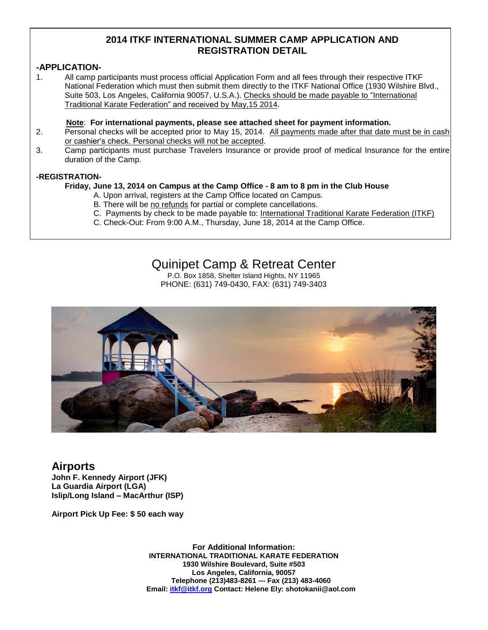## **2014 ITKF INTERNATIONAL SUMMER CAMP APPLICATION AND REGISTRATION DETAIL**

### **-APPLICATION-**

1. All camp participants must process official Application Form and all fees through their respective ITKF National Federation which must then submit them directly to the ITKF National Office (1930 Wilshire Blvd., Suite 503, Los Angeles, California 90057, U.S.A.). Checks should be made payable to "International Traditional Karate Federation" and received by May,15 2014.

#### **Note**: **For international payments, please see attached sheet for payment information.**

- 2. Personal checks will be accepted prior to May 15, 2014. All payments made after that date must be in cash or cashier's check. Personal checks will not be accepted.
- 3. Camp participants must purchase Travelers Insurance or provide proof of medical Insurance for the entire duration of the Camp.

#### **-REGISTRATION-**

#### **Friday, June 13, 2014 on Campus at the Camp Office - 8 am to 8 pm in the Club House**

- A. Upon arrival, registers at the Camp Office located on Campus.
- B. There will be no refunds for partial or complete cancellations.
- C. Payments by check to be made payable to: International Traditional Karate Federation (ITKF)
- C. Check-Out: From 9:00 A.M., Thursday, June 18, 2014 at the Camp Office.

# Quinipet Camp & Retreat Center

P.O. Box 1858, Shelter Island Hights, NY 11965 PHONE: (631) 749-0430, FAX: (631) 749-3403



# **Airports**

**John F. Kennedy Airport (JFK) La Guardia Airport (LGA) Islip/Long Island – MacArthur (ISP)**

**Airport Pick Up Fee: \$ 50 each way**

**For Additional Information: INTERNATIONAL TRADITIONAL KARATE FEDERATION 1930 Wilshire Boulevard, Suite #503 Los Angeles, California, 90057 Telephone (213)483-8261 --- Fax (213) 483-4060 Email: itkf@itkf.org Contact: Helene Ely: shotokanii@aol.com**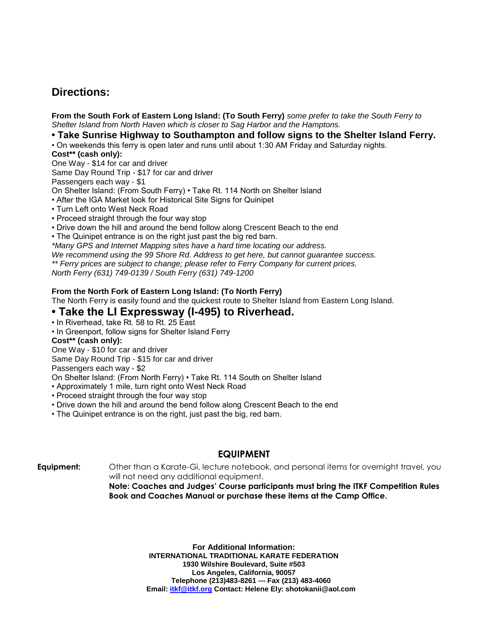# **Directions:**

**From the South Fork of Eastern Long Island: (To South Ferry)** *some prefer to take the South Ferry to Shelter Island from North Haven which is closer to Sag Harbor and the Hamptons.*

**• Take Sunrise Highway to Southampton and follow signs to the Shelter Island Ferry.**

• On weekends this ferry is open later and runs until about 1:30 AM Friday and Saturday nights.

**Cost\*\* (cash only):**

One Way - \$14 for car and driver

Same Day Round Trip - \$17 for car and driver

Passengers each way - \$1

On Shelter Island: (From South Ferry) • Take Rt. 114 North on Shelter Island

- After the IGA Market look for Historical Site Signs for Quinipet
- Turn Left onto West Neck Road
- Proceed straight through the four way stop
- Drive down the hill and around the bend follow along Crescent Beach to the end
- The Quinipet entrance is on the right just past the big red barn.

*\*Many GPS and Internet Mapping sites have a hard time locating our address.*

*We recommend using the 99 Shore Rd. Address to get here, but cannot guarantee success.*

*\*\* Ferry prices are subject to change; please refer to Ferry Company for current prices.*

*North Ferry (631) 749-0139 / South Ferry (631) 749-1200*

#### **From the North Fork of Eastern Long Island: (To North Ferry)**

The North Ferry is easily found and the quickest route to Shelter Island from Eastern Long Island.

## **• Take the LI Expressway (I-495) to Riverhead.**

• In Riverhead, take Rt. 58 to Rt. 25 East

• In Greenport, follow signs for Shelter Island Ferry

#### **Cost\*\* (cash only):**

One Way - \$10 for car and driver

Same Day Round Trip - \$15 for car and driver

Passengers each way - \$2

On Shelter Island: (From North Ferry) • Take Rt. 114 South on Shelter Island

• Approximately 1 mile, turn right onto West Neck Road

- Proceed straight through the four way stop
- Drive down the hill and around the bend follow along Crescent Beach to the end
- The Quinipet entrance is on the right, just past the big, red barn.

## **EQUIPMENT**

**Equipment:** Other than a Karate-Gi, lecture notebook, and personal items for overnight travel, you will not need any additional equipment.

> **Note: Coaches and Judges' Course participants must bring the ITKF Competition Rules Book and Coaches Manual or purchase these items at the Camp Office.**

> > **For Additional Information: INTERNATIONAL TRADITIONAL KARATE FEDERATION 1930 Wilshire Boulevard, Suite #503 Los Angeles, California, 90057 Telephone (213)483-8261 --- Fax (213) 483-4060 Email: itkf@itkf.org Contact: Helene Ely: shotokanii@aol.com**